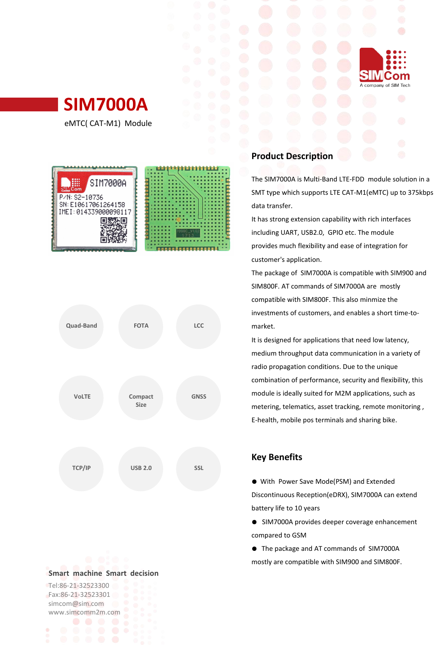

eMTC( CAT-M1) Module





#### **Smart machine Smart decision**

Tel:86-21-32523300 Fax:86-21-32523301 simcom@sim.com www.simcomm2m.com

# **Product Description**

The SIM7000A is Multi-Band LTE-FDD module solution in a SMT type which supports LTE CAT-M1(eMTC) up to 375kbps data transfer.

Sh

om

A company of SIM Tech

It has strong extension capability with rich interfaces including UART, USB2.0, GPIO etc. The module provides much flexibility and ease of integration for customer's application.

The package of SIM7000A is compatible with SIM900 and SIM800F. AT commands of SIM7000A are mostly compatible with SIM800F. This also minmize the investments of customers, and enables a short time-to market.

It is designed for applications that need low latency, medium throughput data communication in a variety of radio propagation conditions. Due to the unique combination of performance, security and flexibility, this module is ideally suited for M2M applications, such as metering, telematics, asset tracking, remote monitoring , E-health, mobile pos terminals and sharing bike.

## **Key Benefits**

● With Power Save Mode(PSM) and Extended Discontinuous Reception(eDRX), SIM7000A can extend battery life to 10 years

- SIM7000A provides deeper coverage enhancement compared to GSM
- The package and AT commands of SIM7000A mostly are compatible with SIM900 and SIM800F.